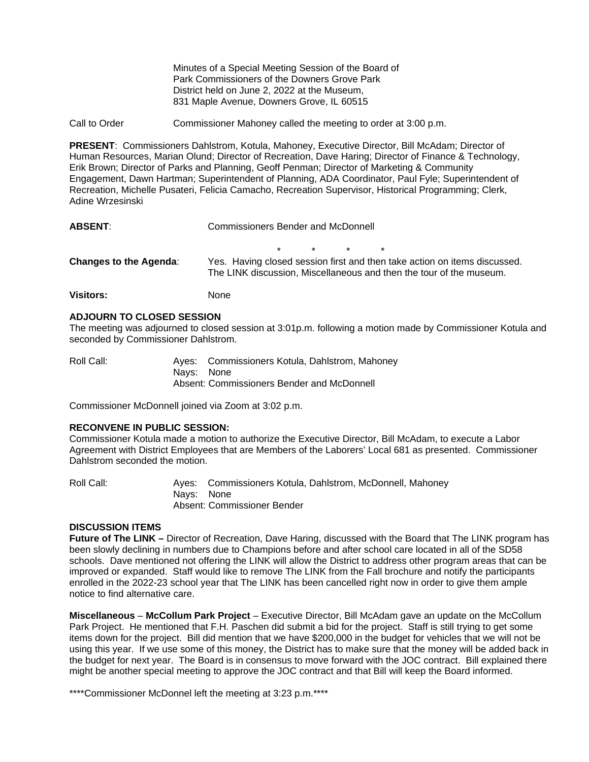Minutes of a Special Meeting Session of the Board of Park Commissioners of the Downers Grove Park District held on June 2, 2022 at the Museum, 831 Maple Avenue, Downers Grove, IL 60515

Call to Order Commissioner Mahoney called the meeting to order at 3:00 p.m.

**PRESENT**: Commissioners Dahlstrom, Kotula, Mahoney, Executive Director, Bill McAdam; Director of Human Resources, Marian Olund; Director of Recreation, Dave Haring; Director of Finance & Technology, Erik Brown; Director of Parks and Planning, Geoff Penman; Director of Marketing & Community Engagement, Dawn Hartman; Superintendent of Planning, ADA Coordinator, Paul Fyle; Superintendent of Recreation, Michelle Pusateri, Felicia Camacho, Recreation Supervisor, Historical Programming; Clerk, Adine Wrzesinski

| <b>ABSENT:</b>                | Commissioners Bender and McDonnell                                                                                                               |         |         |         |         |  |
|-------------------------------|--------------------------------------------------------------------------------------------------------------------------------------------------|---------|---------|---------|---------|--|
|                               |                                                                                                                                                  | $\star$ | $\star$ | $\star$ | $\star$ |  |
| <b>Changes to the Agenda:</b> | Yes. Having closed session first and then take action on items discussed.<br>The LINK discussion, Miscellaneous and then the tour of the museum. |         |         |         |         |  |
| Visitors:                     | None                                                                                                                                             |         |         |         |         |  |

#### **ADJOURN TO CLOSED SESSION**

The meeting was adjourned to closed session at 3:01p.m. following a motion made by Commissioner Kotula and seconded by Commissioner Dahlstrom.

| Roll Call: |            | Ayes: Commissioners Kotula, Dahlstrom, Mahoney |
|------------|------------|------------------------------------------------|
|            | Navs: None |                                                |
|            |            | Absent: Commissioners Bender and McDonnell     |

Commissioner McDonnell joined via Zoom at 3:02 p.m.

### **RECONVENE IN PUBLIC SESSION:**

Commissioner Kotula made a motion to authorize the Executive Director, Bill McAdam, to execute a Labor Agreement with District Employees that are Members of the Laborers' Local 681 as presented. Commissioner Dahlstrom seconded the motion.

Roll Call: Ayes: Commissioners Kotula, Dahlstrom, McDonnell, Mahoney Nays: None Absent: Commissioner Bender

# **DISCUSSION ITEMS**

**Future of The LINK –** Director of Recreation, Dave Haring, discussed with the Board that The LINK program has been slowly declining in numbers due to Champions before and after school care located in all of the SD58 schools. Dave mentioned not offering the LINK will allow the District to address other program areas that can be improved or expanded. Staff would like to remove The LINK from the Fall brochure and notify the participants enrolled in the 2022-23 school year that The LINK has been cancelled right now in order to give them ample notice to find alternative care.

**Miscellaneous** – **McCollum Park Project** – Executive Director, Bill McAdam gave an update on the McCollum Park Project. He mentioned that F.H. Paschen did submit a bid for the project. Staff is still trying to get some items down for the project. Bill did mention that we have \$200,000 in the budget for vehicles that we will not be using this year. If we use some of this money, the District has to make sure that the money will be added back in the budget for next year. The Board is in consensus to move forward with the JOC contract. Bill explained there might be another special meeting to approve the JOC contract and that Bill will keep the Board informed.

\*\*\*\*Commissioner McDonnel left the meeting at 3:23 p.m.\*\*\*\*